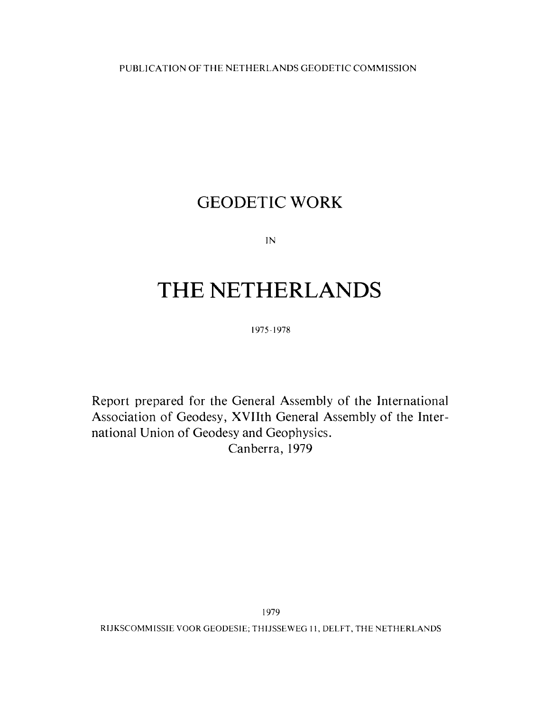PUBLICATION OF THE NETHERLANDS GEODETIC COMMISSION

# GEODETIC WORK

 $IN$ 

# THE NETHERLANDS

1975-1978

Report prepared for the General Assembly of the International Association of Geodesy, XVIIth General Assembly of the International Union of Geodesy and Geophysics. Canberra, 1979

RIJKSCOMMISSIE VOOR GEODESIE; THIJSSEWEG 11, DELFT, THE NETHERLANDS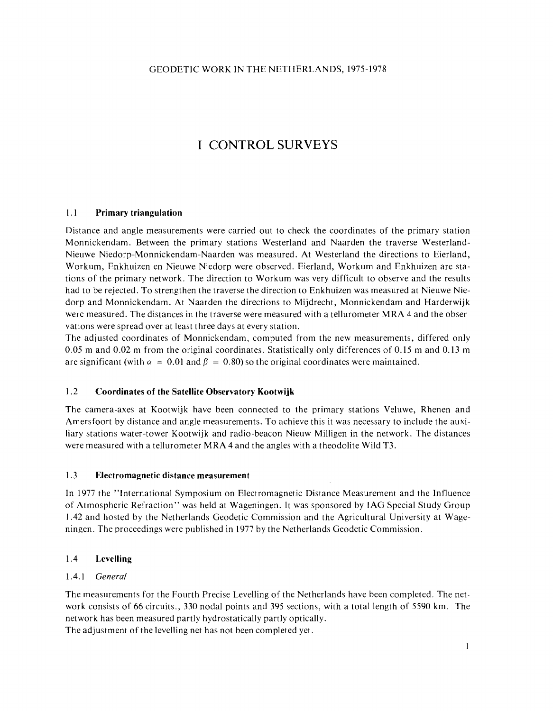# I CONTROL SURVEYS

# 1.1 **Primary triangulation**

Distance and angle measurements were carried out to check the coordinates of the primary station Monnickendam. Between the primary stations Westerland and Naarden the traverse Westerland-Nieuwe Niedorp-Monnickendam-Naarden was measured. At Westerland the directions to Eierland, Workum, Enkhuizen en Nieuwe Niedorp were observed. Eierland, Workum and Enkhuizen are stations of the primary network. The direction to Workum was very difficult to observe and the results had to be rejected. To strengthen the traverse the direction to Enkhuizen was measured at Nieuwe Niedorp and Monnickendam. At Naarden the directions to Mijdrecht, Monnickendam and Harderwijk were measured. The distances in the traverse were measured with a tellurometer MRA 4 and the observations were spread over at least three days at every station.

The adjusted coordinates of Monnickendam, computed from the new measurements, differed only 0.05 m and 0.02 m from the original coordinates. Statistically only differences of 0.15 m and 0.13 m are significant (with  $\alpha = 0.01$  and  $\beta = 0.80$ ) so the original coordinates were maintained.

# 1.2 **Coordinates of the Satellite Observatory Kootwijk**

The camera-axes at Kootwijk have been connected to the primary stations Veluwe, Rhenen and Amersfoort by distance and angle measurements. To achieve this it was necessary to include the auxiliary stations water-tower Kootwijk and radio-beacon Nieuw Milligen in the network. The distances were measured with a tellurometer MRA 4 and the angles with a theodolite Wild T3.

# 1.3 **Electromagnetic distance measurement**

In 1977 the "International Symposium on Electromagnetic Distance Measurement and the Influence of Atmospheric Refraction" was held at Wageningen. It was sponsored by IAG Special Study Group 1.42 and hosted by the Netherlands Geodetic Commission and the Agricultural University at Wageningen. The proceedings were published in 1977 by the Netherlands Geodetic Commission.

# 1.4 **Levelling**

# 1 .4.1 General

The measurements for the Fourth Precise Levelling of the Netherlands have been completed. The network consists of 66 circuits., 330 nodal points and 395 sections, with a total length of 5590 km. The network has been measured partly hydrostatically partly optically.

The adjustment of the levelling net has not been completed yet.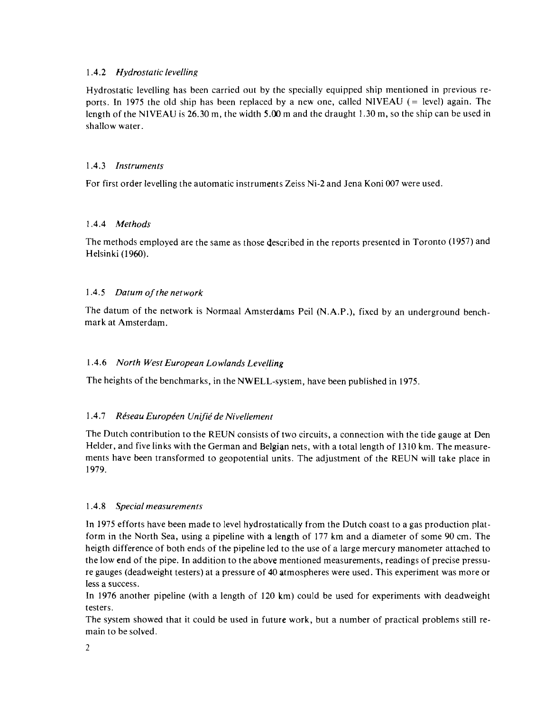# **1.4.2** *Hydrostatic levelling*

Hydrostatic levelling has been carried out by the specially equipped ship mentioned in previous reports. In **1975** the old ship has been replaced by a new one, called NlVEAU (= level) again. The length of the NlVEAU is **26.30** m, the width 5.00 m and the draught **1.30** m, so the ship can be used in shallow water.

# **1.4.3** *Instruments*

For first order levelling the automatic instruments Zeiss Ni-2 and Jena Koni **007** were used.

# **1.4.4** *Methods*

The methods employed are the same as those described in the reports presented in Toronto **(1957)** and Helsinki **(l 960).** 

# **1.4.5** *Datum of the network*

The datum of the network is Normaal Amsterdams Peil (N.A.P.), fixed by an underground benchmark at Amsterdam.

# **1.4.6** *North West European Lowlands Levelling*

The heights of the benchmarks, in the NWELL-sysiem, have been published in **1975.** 

# 1.4.7 Réseau Européen Unifié de Nivellement

The Dutch contribution to the REUN consists of two circuits, a connection with the tide gauge at Den Helder, and five links with the German and Belgian nets, with a total length of **1310** km. The measurements have been transformed to geopotential units. The adjustment of the REUN will take place in **1979.** 

# **1.4.8** *Special measurements*

**In 1975** efforts have been made to level hydrostatically from the Dutch coast to a gas production platform in the North Sea, using a pipeline with a length of **177** km and a diameter of some **90** cm. The heigth difference of both ends of the pipeline led to the use of a large mercury manometer attached to the low end of the pipe. In addition to the above mentioned measurements, readings of precise pressure gauges (deadweight testers) at a pressure of **40** atmospheres were used. This experiment was more or less a success.

In **1976** another pipeline (with a length of **120** km) could be used for experiments with deadweight testers.

The system showed that it could be used in future work, but a number of practical problems still remain to be solved.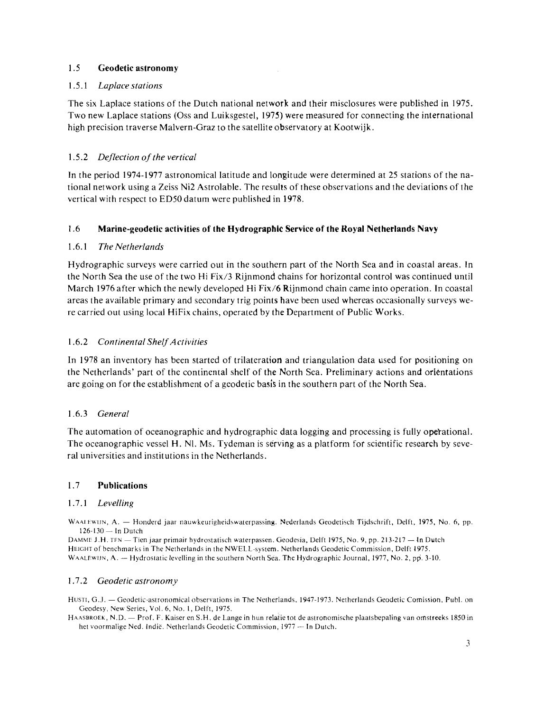# 1.5 **Geodetic astronomy**

## 1.5.1 *Laplace stations*

The six Laplace stations of the Dutch national network and their misclosures were published in 1975. Two new Laplace stations (Oss and Luiksgestel, 1975) were measured for connecting the international high precision traverse Malvern-Graz to the satellite observatory at Kootwijk.

# 1.5.2 *Deflection of the vertical*

In the period 1974-1977 astronomical latitude and longitude were determined at 25 stations of the national network using a Zeiss Ni2 Astrolable. The results of these observations and the deviations of the vertical with respect to ED5O datum were published in 1978.

# 1.6 **Marine-geodetic activities of the Hydrographic Service of the Royal Netherlands Navy**

# 1.6.1 *The Netherlands*

Hydrographic surveys were carried out in the southern part of the North Sea and in coastal areas. In the North Sea the use of the two Hi Fix/3 Rijnmond chains for horizontal control was continued until March 1976 after which the newly developed Hi Fix/6 Rijnmond chain came into operation. In coastal areas the available primary and secondary trig points have been used whereas occasionally surveys were carried out using local HiFix chains, operated by the Department of Public Works.

# 1.6.2 *Continental Shelf Activities*

In 1978 an inventory has been started of trilateration and triangulation data used for positioning on the Netherlands' part of the continental shelf of the North Sea. Preliminary actions and orientations are going on for the establishment of a geodetic basis in the southern part of the North Sea.

# 1.6.3 *General*

The automation of oceanographic and hydrographic data logging and processing is fully opetational. The oceanographic vessel H. N1. Ms. Tydeman is serving as a platform fot scientific research by several universities and institutions in the Netherlands.

### 1.7 **Publications**

### 1.7.1 *Levelling*

WAAI FUIIN, A. - Honderd jaar nauwkeurigheidswaterpassing. Nederlands Geodetisch Tijdschrift, Delft, 1975, No. 6, pp. ALEWIJN, A. — Hoi<br>126-130 — In Dutch

DAMME J.H. TEN - Tien jaar primair hydrostatisch waterpassen. Geodesia, Delft 1975, No. 9, pp. 213-217 - In Dutch HEIGHT of benchmarks in The Netherlands in the NWELL-system. Netherlands Geodetic Commission, Delft 1975.<br>WAALEWIJN, A. — Hydrostatic levelling in the Southern North Sea. The Hydrographic Journal, 1977, No. 2, pp. 3-10.

### 1.7.2 *Geodetic astronomy*

HUSTI, G.J. - Geodetic-astronomical observations in The Netherlands, 1947-1973. Netherlands Geodetic Comission, Publ. on Geodesy, New Series, Vol. 6, No. l, Delft, 1975.

Heart, S.S. Secondar astronomien ooservations in The Netherlands, 1997-1995. Netherlands seconde comission, 1 aon. on<br>HAASBROEK, N.D. - Prof. F. Kaiser en S.H. de Lange in hun relatie tot de astronomische plaatsbepaling va Secoles, N.D. – Prof. F. Kaiser en S.H. de Lange in hun relatie tot de astronomies.<br>ASBROEK, N.D. – Prof. F. Kaiser en S.H. de Lange in hun relatie tot de astronomies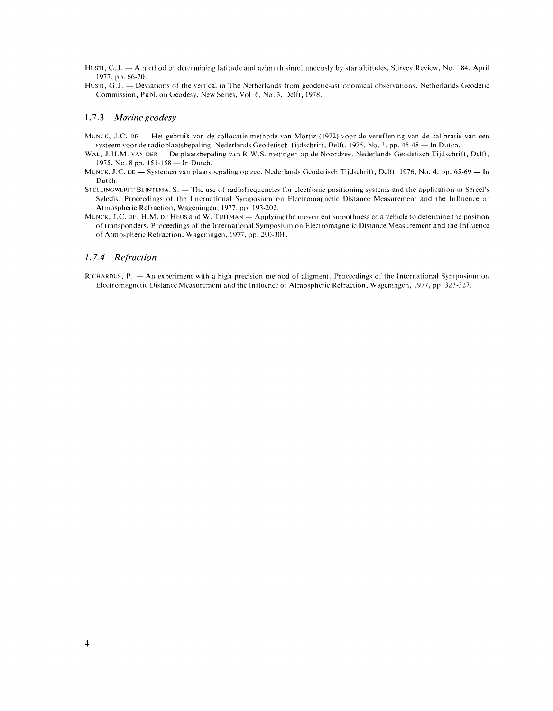Husri, G.J. - A method of determining latitude and azimuth simultaneously by star altitudes. Survey Review, No. 184, April 1977, pp. 66-70.

HUSTI, G.J. - Deviations of the vertical in The Netherlands from geodetic-astronomical observations. Netherlands Geodetic Commission, Publ. on Geodesy, New Series, Vol. 6, No. 3, Dclft, 1978.

#### **1.7.3** *Marine geodesy*

- MUNCK, J.C. DE Het gebruik van de collocatie-methode van Mortiz (1972) voor de vereffening van de calibratie van een NCK, J.C. DE — Het gebruik van de collocatie-methode van Mortiz (1972) voor de vereffening van de calibratie<br>systeem voor de radioplaatsbepaling. Nederlands Geodetisch Tijdschrift, Delft, 1975, No. 3, pp. 45-48 — In Dutch. systeem voor de radioplaatsbepaling. Nederlands Geodetisch Tijdschrift, Delft, 1975, No. 3, pp. 45-48 — In Dutch.<br>WAL, J.H.M. vAN DER — De plaatsbepaling van R.W.S.-metingen op de Noordzee. Nederlands Geodetisch Tijdschrif
- 1975, No. 8 pp. 151-158 In Dutch.
- MUNCK, J.C. DE Systemen van plaatsbepaling op zee. Nederlands Geodetisch Tijdschrift, Delft, 1976, No. 4, pp. 65-69 In Dutch.
- STELLINGWERFF BEINTEMA,  $S. -$  The use of radiofrequencies for electronic positioning systems and the application in Sercel's Syledis. Proceedings of the International Symposium on Electromagnetic Distance Measurement and the Influence of Atmospheric Refraction, Wageningen, 1977, pp. 193-202.
- MUNCK, J.C. DE, H.M. DE HEUS and W. TUITMAN  $-$  Applying the movement smoothness of a vehicle to determine the position of transponders. Proceedings of the International Symposium on Electromagnetic Distance Measurement and the Influence of Atmospheric Refraction, Wageningen, 1977, pp. 290-301.

### *1.7.4 Refraction*

RICHARDUS,  $P = An$  experiment with a high precision method of aligment. Proceedings of the International Symposium on Electromagnetic Distance Measurement and the Influence of Atmospheric Refraction, Wageningen, 1977, pp. 323-327.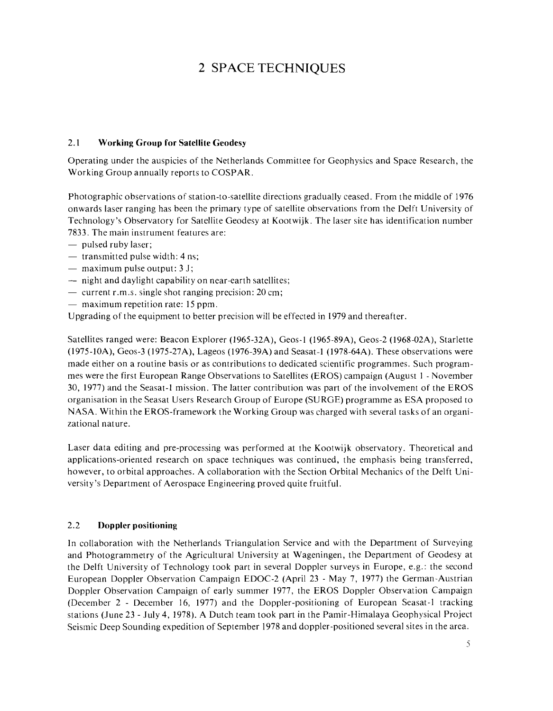# 2 SPACE TECHNIQUES

# 2.1 **Working Group for Satellite Geodesy**

Operating under the auspicies of the Netherlands Committee for Geophysics and Space Research, the Working Group annually reports to COSPAR.

Photographic observations of station-to-satellite directions gradually ceased. From the middle of 1976 onwards laser ranging has been the primary type of satellite observations from the Delft University of Technology's Observatory for Satellite Geodesy at Kootwijk. The laser site has identification number 7833. The main instrument features are:<br>
— pulsed ruby laser;

- 
- pulsed ruby laser;<br>- pulsed ruby laser;<br>- transmitted pulse width: 4 ns; - transmitted pulse width: 4 ns<br>- maximum pulse output: 3 J;
- 
- maximum pulse output: 3 J;<br>-- night and daylight capability on near-earth satellites;  $-$  night and daylight capability on near-earth satellites<br>  $-$  current r.m.s. single shot ranging precision: 20 cm;
- current r.m.s. single shot ranging precision: 20 cm;<br>- maximum repetition rate: 15 ppm.
- 

Upgrading of the equipment to better precision will be effected in 1979 and thereafter.

Satellites ranged were: Beacon Explorer (1965-32A), Geos-1 (1965-89A), Geos-2 (1968-02A), Starlette (1975-10A), Geos-3 (3975-27A), Lageos (1976-39A) and Seasat-l (1978-64A). These observations were made either on a routine basis or as contributions to dedicated scientific programmes. Such programmes were the first European Range Observations to Satellites (EROS) campaign (August l - November 30, 1977) and the Seasat-l mission. The latter contribution was part of the involvement of the EROS organisation in the Seasat Users Research Group of Europe (SURGE) programme as ESA proposed to NASA. Within the EROS-framework the Working Group was charged with several tasks of an organizational nature.

Laser data editing and pre-processing was performed at the Kootwijk observatory. Theoretical and applications-oriented research on space techniques was continued, the emphasis being transferred, however, to orbital approaches. A collaboration with the Section Orbital Mechanics of the Delft University's Department of Aerospace Engineering proved quite fruitful.

# 2.2 **Doppler positioning**

In collaboration with the Netherlands Triangulation Service and with the Department of Surveying and Photogrammetry of the Agricultural University at Wageningen, the Department of Geodesy at the Delft University of Technology took part in several Doppler surveys in Europe, e.g.: the second European Doppler Observation Campaign EDOC-2 (April 23 - May 7, 1977) the German-Austrian Doppler Observation Campaign of early summer 1977, the EROS Doppler Observation Campaign (December 2 - December 16, 1977) and the Doppler-positioning of European Seasat-l tracking stations (June 23 - July 4, 1978). A Dutch team took part in the Pamir-Himalaya Geophysical Project Seismic Deep Sounding expedition of September 1978 and doppler-positioned several sites in the area.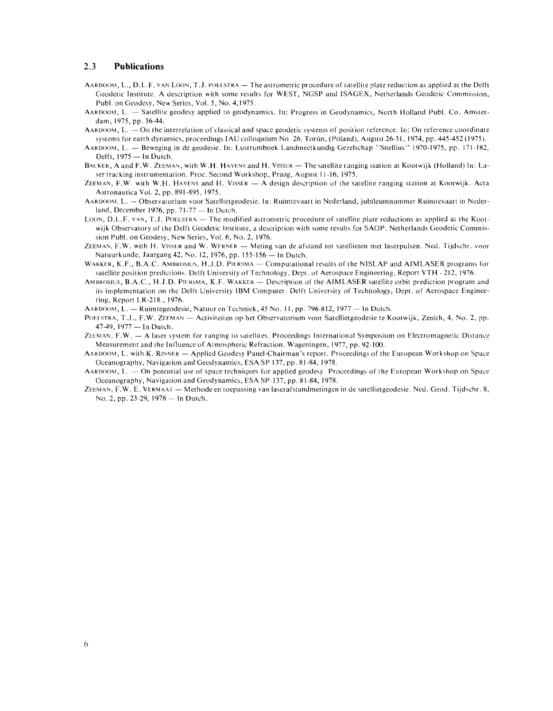#### **2.3 Publications**

- AARDOOM, L., D.L.F. VAN LOON, T.J. POELSTRA  $-$  The astrometric procedure of satellite plate reduction as applied at the Delft Geodetic Institute. A description with some results for WEST, NGSP and ISAGEX, Netherlands Geodetic Commission, Publ. on Geodesy, New Series, Vol. 5, No. 4,1975.
- AARDOOM, L. Satellite geodesy applied to geodynamics. In: Progress in Geodynamics, North Holland Publ. Co. Amsterdam, 1975, pp. 36-44.
- AARDOOM, L. On the interrelation of classical and space geodetic systems of position reference. In: On reference coordinate systems for earth dynamics, proceedings IAU colloquium No. 26, Torún, (Poland), August 26-31, 1974, pp. 445-452 (1975).<br>AARDOOM, L. — Beweging in de geodesie. In: Lustrumboek Landmeetkundig Gezelschap "Snellius" 1970-1975,
- AARDOOM, L. Beweging in de geodesie. In: Lustrumboek Landmeetkundig Gezelschap "Snellius" 1970-1975, pp. 171-182, Delft, 1975 In Dutch.
- BACKER, A and F.W. ZEEMAN, with W.H. HAVENS and H. VISSER The satellite ranging station at Kootwijk (Holland) In: Laser tracking instrumentation. Proc. Second Workshop, Praag, August 11-16, 1975.
- ZEEMAN, F.W. with W.H. HAVENS and H. VISSER  $A$  design description of the satellite ranging station at Kootwijk. Acta Astronautica Vol. 2, pp. 891-895, 1975.
- AAKDOOM. L. Observatorium voor Satellietgeodesie. In: Ruimtevaart in Nederland, jubileumnummer Ruinitevaart in Ncderland, December 1976, pp.  $71-77$  - In Dutch.
- LOON, D.L.F. VAN, T.J. POELSTRA The modified astrometric procedure of satellite plate reductions as applied at the Kootwijk Observatory of the Delft Geodetic Institute, a description with some results for SAOP. Netherlands Geodetic Commission Publ. on Geodesy, New Series, Vol. 6. No. 2. 1976.
- ZEEMAN, F.W. with H. VISSER and W. WFRNER Meting van de afstand tot satellieten met laserpulsen. Ned. Tijdschr. voor Natuurkunde, Jaargang 42, No. 12, 1976, pp. 155-156 - In Dutch.
- WAKKER, K.F., B.A.C. AMBROSIUS, H.J.D. PIERSMA  $-$  Computational results of the NISLAP and AIMLASER programs for Satellite position predictions. Delft University of Technology, Dept. of Aerospace Engineering, Report VTH - 212, 1976.<br>AMBROSIUS, B.A.C., H.J.D. PIERSMA, K.F. WAKKER — Description of the AIMLASER satellite orbit predictio
- its implementation on the Delft University IBM Computer. Delft University of Technology, Dept. of Aerospace Engineering, Report LK-218.. 1976.

AARDOOM, L. - Ruimtegeodesie, Natuur en Techniek, 45 No. 11, pp. 796-812, 1977 - In Dutch.

- mig, report ER 2101, 1976.<br>AARDOOM, L. Ruimtegeodesie, Natuur en Techniek, 45 No. 11, pp. 796-812, 1977 In Dutch.<br>POELSTRA, T.J., F.W. ZEEMAN Activiteiten op het Observatorium voor Satellietgeodesie te Kootwijk, Zeni **EXECUTE:** Raintegeon<br>1.8TRA, T.J., F.W. ZEEM<br>47-49, 1977 - In Dutch.  $47-49$ , 1977 - In Dutch.<br>ZEEMAN, F.W. - A laser system for ranging to satellites. Proceedings International Symposium on Electromagnetic Distance
- Measurement and the Influence of Atmospheric Refraction. Wageningen, 1977, pp. 92-100.
- AARDOOM, L. with K. RINNER Applied Geodesy Panel-Chairman's report. Proceedings of the European Workshop on Space Oceanography, Navigation and Geodynamics, ESA SP 137, pp. 81-84, 1978.
- AARDOOM, L. On potential use of space techniques for applied geodesy. Proceedings of the European Workshop on Space Oceanography, Navigation and Geodynamica, ESA SP-137, pp. 81 -84, 1978.
- ZEEMAN, F.W. E. VERMAAI  $-$  Methode en toepassing van laserafstandmetingen in de satellietgeodesie. Ned. Geod. Tijdschr. 8, No. 2, pp. 23-29,  $1978 - \ln$  Dutch.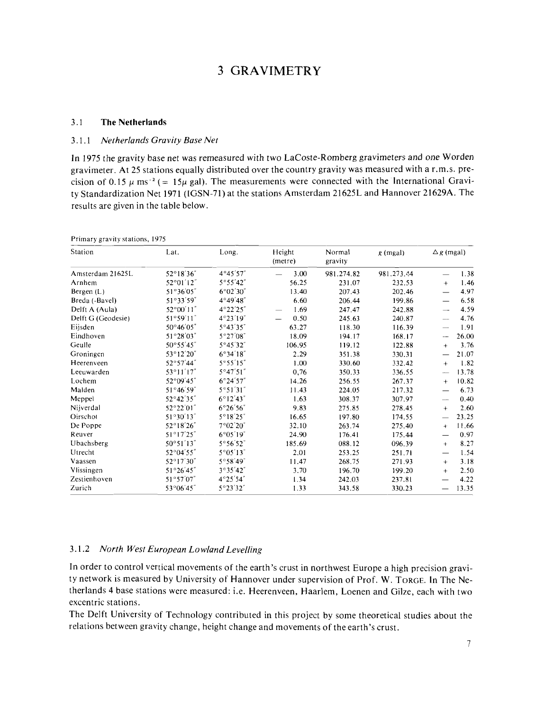# **3** GRAVIMETRY

#### 3.1 **The Netherlands**

#### 3.1.1 **Netherlands Gravity Base Net**

In 1975 the gravity base net was remeasured with two LaCoste-Romberg gravimeters and one Worden gravimeter. At 25 stations equally distributed over the country gravity was measured with a r.m.s. precision of 0.15  $\mu$  ms<sup>-2</sup> (= 15 $\mu$  gal). The measurements were connected with the International Gravity Standardization Net 1971 (IGSN-71) at the stations Amsterdam 21625L and Hannover 21629A. The results are given in the table below.

| Station<br>Amsterdam 21625L | Lat.<br>52°18'36"   | Long.<br>4°45'57"  | Height<br>(metre)<br>3.00<br>$\overline{\phantom{0}}$ | Normal<br>gravity<br>981.274.82 | $g$ (mgal)<br>981.273.44 | $\Delta g$ (mgal)        |       |
|-----------------------------|---------------------|--------------------|-------------------------------------------------------|---------------------------------|--------------------------|--------------------------|-------|
|                             |                     |                    |                                                       |                                 |                          |                          | 1.38  |
| Arnhem                      | 52°01'12"           | 5°55'42"           | 56.25                                                 | 231.07                          | 232.53                   | $+$                      | 1.46  |
| Bergen $(L)$                | $51^{\circ}36'05''$ | 6°02'30"           | 13.40                                                 | 207.43                          | 202.46                   |                          | 4.97  |
| Breda (-Bavel)              | 51°33'59"           | $4^{\circ}49'48''$ | 6.60                                                  | 206.44                          | 199.86                   |                          | 6.58  |
| Delft A (Aula)              | 52°00'11"           | 4°22'25"           | 1.69                                                  | 247.47                          | 242.88                   |                          | 4.59  |
| Delft G (Geodesie)          | 51°59'11"           | 4°23'19"           | 0.50                                                  | 245.63                          | 240.87                   | $-$                      | 4.76  |
| Eijsden                     | 50°46'05"           | $5^{\circ}43'35''$ | 63.27                                                 | 118.30                          | 116.39                   |                          | 1.91  |
| Eindhoven                   | 51°28'03"           | 5°27'08"           | 18.09                                                 | 194.17                          | 168.17                   | --                       | 26.00 |
| Geulle                      | 50°55'45"           | 5°45'32"           | 106.95                                                | 119.12                          | 122.88                   | $+$                      | 3.76  |
| Groningen                   | $53^{\circ}12'20''$ | $6^{\circ}34'18''$ | 2.29                                                  | 351.38                          | 330.31                   |                          | 21.07 |
| Heerenveen                  | $52^{\circ}57'44''$ | 5°55'15"           | 1.00                                                  | 330.60                          | 332.42                   | $+$                      | 1.82  |
| Leeuwarden                  | $53^{\circ}11'17''$ | $5^{\circ}47'51''$ | 0,76                                                  | 350.33                          | 336.55                   |                          | 13.78 |
| Lochem                      | 52°09'45"           | 6°24'57"           | 14.26                                                 | 256.55                          | 267.37                   | $+$                      | 10.82 |
| Malden                      | $51^{\circ}46'59''$ | 5°51'31"           | 11.43                                                 | 224.05                          | 217.32                   |                          | 6.73  |
| Meppel                      | 52°42'35"           | $6^{\circ}12'43''$ | 1.63                                                  | 308.37                          | 307.97                   | $\overline{\phantom{0}}$ | 0.40  |
| Nijverdal                   | 52°22'01"           | 6°26'56"           | 9.83                                                  | 275.85                          | 278.45                   | $+$                      | 2.60  |
| Oirschot                    | 51°30'13"           | $5^{\circ}18'25''$ | 16.65                                                 | 197.80                          | 174.55                   |                          | 23.25 |
| De Poppe                    | $52^{\circ}18'26''$ | 7°02'20"           | 32.10                                                 | 263.74                          | 275.40                   | $+$                      | 11.66 |
| Reuver                      | 51°17'25"           | 6°05'19"           | 24.90                                                 | 176.41                          | 175.44                   |                          | 0.97  |
| Ubachsberg                  | $50^{\circ}51'13''$ | $5^{\circ}56'52''$ | 185.69                                                | 088.12                          | 096.39                   | $+$                      | 8.27  |
| Utrecht                     | 52°04'55"           | $5^{\circ}05'13''$ | 2.01                                                  | 253.25                          | 251.71                   |                          | 1.54  |
| Vaassen                     | 52°17'30"           | 5°58'49"           | 11.47                                                 | 268.75                          | 271.93                   | $+$                      | 3.18  |
| Vlissingen                  | $51^{\circ}26'45''$ | 3°35'42"           | 3.70                                                  | 196.70                          | 199.20                   | $+$                      | 2.50  |
| Zestienhoven                | 51°57'07"           | 4°25'54"           | 1.34                                                  | 242.03                          | 237.81                   |                          | 4.22  |
| Zurich                      | $53^{\circ}06'45''$ | 5°23'32"           | 1.33                                                  | 343.58                          | 330.23                   |                          | 13.35 |

Primary gravity stations, 1975

### 3.1.2 **North West European Lowland Levelling**

In order to control vertical movements of the earth's crust in northwest Europe a high precision gravity network is measured by University of Hannover under supervision of Prof. W. TORGE. In The Netherlands 4 base stations were measured: i.e. Heerenveen, Haarlem, Loenen and Gilze, each with two excentric stations.

The Delft University of Technology contributed in this project by some theoretical studies about the relations between gravity change, height change and movements of the earth's crust.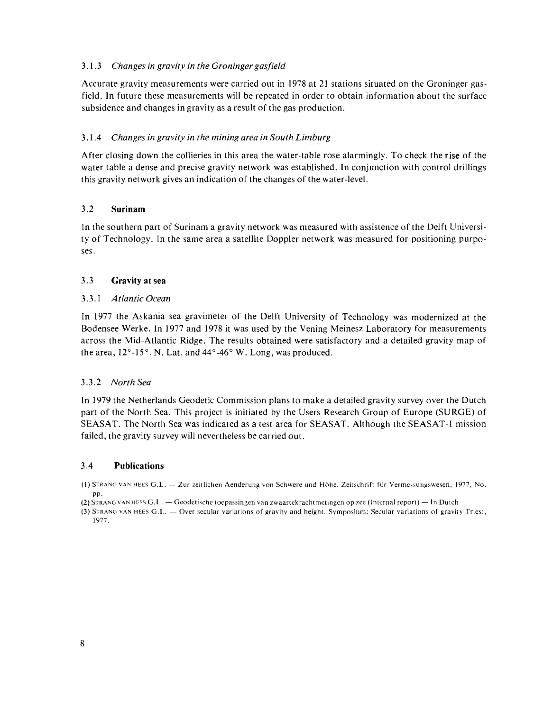# 3.1.3 *Changes in gravity in the Groninger gasfield*

Accurate gravity measurements were carried out in 1978 at 21 stations situated on the Groninger gasfield. In future these measurements will be repeated in order to obtain information about the surface subsidence and changes in gravity as a result of the gas production.

# 3.1.4 *Changes in gravity in the mining area in South Limburg*

After closing down the collieries in this area the water-table rose alarmingly. To check the rise of the water table a dense and precise gravity network was established. In conjunction with control drillings this gravity network gives an indication of the changes of the water-level.

# 3.2 **Surinam**

In the southern part of Surinam a gravity network was measured with assistence of the Delft University of Technology. In the same area a satellite Doppler network was measured for positioning purposes.

# 3.3 **Gravity at sea**

# 3.3. I *Atlantic Ocean*

In 1977 the Askania sea gravimeter of the Delft University of Technology was modernized at the Bodensee Werke. In 1977 and 1978 it was used by the Vening Meinesz Laboratory for measurements across the Mid-Atlantic Ridge. The results obtained were satisfactory and a detailed gravity map of the area,  $12^{\circ}$ -15°. N. Lat. and  $44^{\circ}$ -46° W. Long, was produced.

# 3.3.2 *North Sea*

In 1979 the Netherlands Geodetic Commission plans to make a detailed gravity survey over the Dutch part of the North Sea. This project is initiated by the Users Research Group of Europe (SURGE) of SEASAT. The North Sea was indicated as a test area for SEASAT. Although the SEASAT-I mission failed, the gravity survey will nevertheless be carried out.

### 3.4 **Publications**

(1) STRANG VAN HEES G.L. - Zur zeitlichen Aenderung von Schwere und Höhe. Zeitschrift für Vermessungswesen, 1977, No. PP. **(2) STRANG VAN HEES G.L. -- Zur zennenen Aenderung von Schwere und Hone. Zensemmt für Vermessungswesen, 1**<br>**(2) STRANG VAN HESS G.L. -- Geodetische toepassingen van zwaartekrachtmetingen op zee (Internal report) -- In Dut** 

<sup>2</sup> (2) STRANG VAN HESS G.L. — Geodetische toepassingen van zwaartekrachtmetingen op zee (Internal report) — In Dutch<br>(3) STRANG VAN HEES G.L. — Over secular variations of gravity and height. Symposium: Secular variations 1977.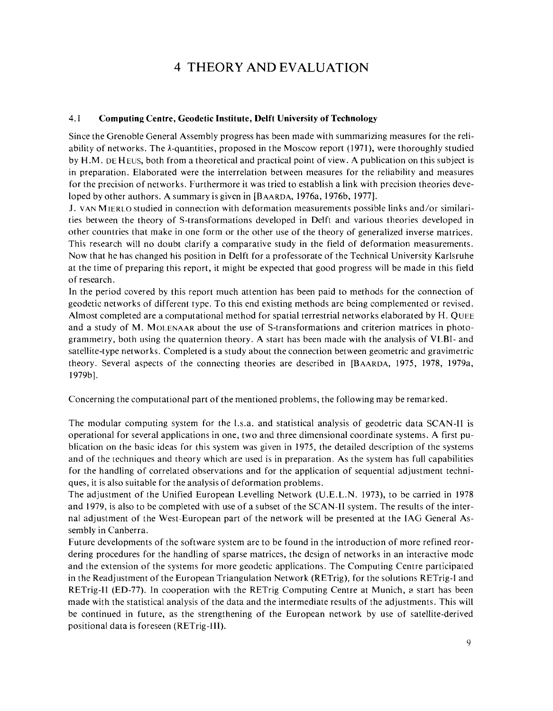# 4 THEORY AND EVALUATION

# 4.1 **Computing Centre, Geodetic Institute, Delft University of Technology**

Since the Grenoble General Assembly progress has been made with summarizing measures for the reliability of networks. The A-quantities, proposed in the Moscow report (1971), were thoroughly studied by H.M. DE H EUS, both from a theoretical and practical point of view. A publication on this subject is in preparation. Elaborated were the interrelation between measures for the reliability and measures for the precision of networks. Furthermore it was tried to establish a link with precision theories developed by other authors. A summary is given in [BAARDA, 1976a, 1976b, 1977].

J. VAN MIERLO studied in connection with deformation measurements possible links and/or similarities between the theory of S-transformations developed in Delft and various theories developed in other countries that make in one form or the other use of the theory of generalized inverse matrices. This research will no doubt clarify a comparative study in the field of deformation measurements. Now that he has changed his position in Delft for a professorate of the Technical University Karlsruhe at the time of preparing this report, it might be expected that good progress will be made in this field of research.

In the period covered by this report much attention has been paid to methods for the connection of geodetic networks of different type. To this end existing methods are being complemented or revised. Almost completed are a computational method for spatial terrestrial networks elaborated by H. QUEE and a study of M. MOLENAAR about the use of S-transformations and criterion matrices in photogrammetry, both using the quaternion theory. A start has been made with the analysis of VLBI- and satellite-type networks. Completed is a study about the connection between geometric and gravimetric theory. Several aspects of the connecting theories are described in [BAARDA, 1975, 1978, 1979a, 1979b].

Concerning the computational part of the mentioned problems, the following may be remarked.

The modular computing system for the 1.s.a. and statistical analysis of geodetric data SCAN-I1 is operational for several applications in one, two and three dimensional coordinate systems. A first publication on the basic ideas for this system was given in 1975, the detailed description of the systems and of the techniques and theory which are used is in preparation. As the system has full capabilities for the handling of correlated observations and for the application of sequential adjustment techniques, it is also suitable for the analysis of deformation problems.

The adjustment of the Unified European Levelling Network (U.E.L.N. 1973), to be carried in 1978 and 1979, is also to be completed with use of a subset of the SCAN-I1 system. The results of the internal adjustment of the West-European part of the network will be presented at the IAG General Assembly in Canberra.

Future developments of the software system are to be found in the introduction of more refined reordering procedures for the handling of sparse matrices, the design of networks in an interactive mode and the extension of the systems for more geodetic applications. The Computing Centre participated in the Readjustment of the European Triangulation Network (RETrig), for the solutions RETrig-I and RETrig-11 (ED-77). In cooperation with the RETrig Computing Centre at Munich, a start has been made with the statistical analysis of the data and the intermediate results of the adjustments. This will be continued in future, as the strengthening of the European network by use of satellite-derived positional data is foreseen (RETrig-111).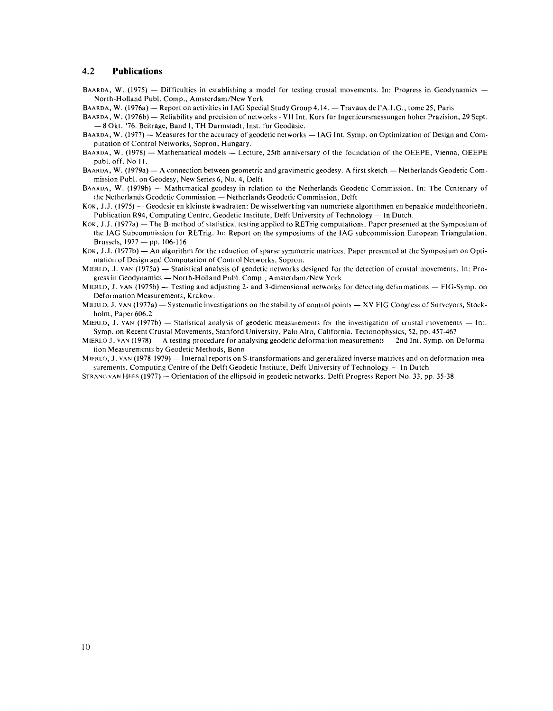#### **4.2 Publications**

- BAARDA, W. (1975) Difficulties in establishing a model for testing crustal movements. In: Progress in Geodynamics -North-Holland Publ. Comp., Amsterdam/New York
- BAARDA, W. (1976a) Report on activities in IAG Special Study Group 4.14.  $-$  Travaux de l'A.I.G., tome 25, Paris
- BAARDA, W. (1976a) Report on activities in IAG Special Study Group 4.14. Travaux de l'A.I.G., tome 25, Paris<br>BAARDA, W. (1976b) Reliability and precision of networks VII Int. Kurs für Ingenieursmessungen hoher Präz REDA, W. (1976b) — Reliability and precision of networks - VII Int.<br>
— 8 Okt. '76. Beitrage, Band I, TH Darmstadt, Inst. fur Geodasie. - 8 Okt. '76. Beiträge, Band I, TH Darmstadt, Inst. für Geodäsie.<br>BAARDA, W. (1977) -- Measures for the accuracy of geodetic networks -- IAG Int. Symp. on Optimization of Design and Com-
- putation of Control Networks, Sopron, Hungary.
- BAARDA, W. (1978) Mathematical models Lecture, 25th anniversary of the foundation of the OEEPE, Vienna, OEEPE publ. off. No 11.
- BAARDA, W. (1979a)  $-$  A connection between geometric and gravimetric geodesy. A first sketch  $-$  Netherlands Geodetic Commission Publ. on Geodesy, New Series 6, No. 4, Delft
- BAARDA, W. (1979b) Mathematical geodesy in relation to the Netherlands Geodetic Commission. In: The Centenary of the Netherlands Geodetic Commission - Netherlands Geodetic Commission, Delft
- KOK, J.J. (1975) Geodesie en kleinste kwadraten: De wisselwerking van numerieke algorithmen en bepaalde modeltheorieen. Publication R94, Computing Centre, Geodetic Institute, Delft University of Technology — In Dutch.
- KOK, J.J. (1977a)  $-$  The B-method of statistical testing applied to RETrig computations. Paper presented at the Symposium of the IAG Subcommission for RETrig. In: Report on the symposiums of the IAG subcommission European Triangulation, Brussels,  $1977 - pp. 106-116$
- $K$ OK, J.J. (1977b) An algorithm for the reduction of sparse symmetric matrices. Paper presented at the Symposium on Optimation of Design and Computation of Control Networks, Sopron.
- MIERLO, J. VAN (1975a) Statistical analysis of geodetic networks, Sopron.<br>MIERLO, J. VAN (1975a) Statistical analysis of geodetic networks designed for the detection of crustal movements. In: Promation of Besign and Compatation of Control Freemonts, Sopron.<br>REO, J. VAN (1975a) — Statistical analysis of geodetic networks designed for<br>gress in Geodynamics — North-Holland Publ. Comp., Amsterdam/New York gress in Geodynamics — North-Holland Publ. Comp., Amsterdam/New York<br>MIERLO, J. VAN (1975b) — Testing and adjusting 2- and 3-dimensional networks for detecting deformations — FIG-Symp. on
- Deformation Measurements, Krakow.
- MIERLO, J. VAN (1977a)  $-$  Systematic investigations on the stability of control points  $-$  XV FIG Congress of Surveyors, Stockholm, Paper 606.2
- MIERLO, J. VAN (1977b) Statistical analysis of geodetic measurements for the investigation of crustal movements  $-$  Int. Symp. on Recent Crustal Movements, Stanford University, Palo Alto, California. Tectonophysics, 52, pp. 457-467
- MIERLO J. VAN (1978) A testing procedure for analysing geodetic deformation measurements 2nd Int. Symp. on Deformation Measurements by Geodetic Methods, Bonn
- MIERLO, J. VAN (1978-1979) Internal reports on S-transformations and generalized inverse matrices and on deformation mea-<br>surements. Computing Centre of the Delft Geodetic Institute, Delft University of Technology In D
- STRANG VAN HEES (1977) Orientation of the ellipsoid in geodetic networks. Delft Progress Report No. 33, pp. 35-38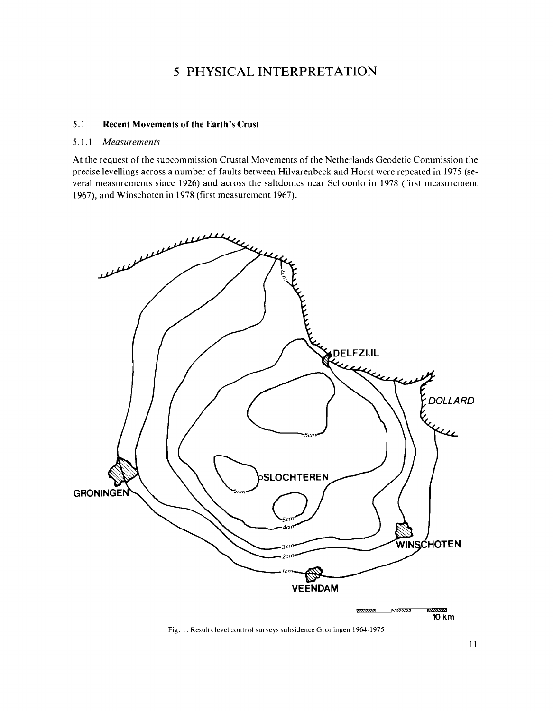# 5 PHYSICAL INTERPRETATION

# 5.1 **Recent Movements of the Earth's Crust**

### 5.1.1 *Measurements*

At the request of the subcommission Crustal Movements of the Netherlands Geodetic Commission the precise levellings across a number of faults between Hilvarenbeek and Horst were repeated in 1975 (several measurements since 1926) and across the saltdomes near Schoonlo in 1978 (first measurement 1967), and Winschoten in 1978 (first measurement 1967).



Fig. **1.** Results level control surveys subsidence Groningen **1964-1975**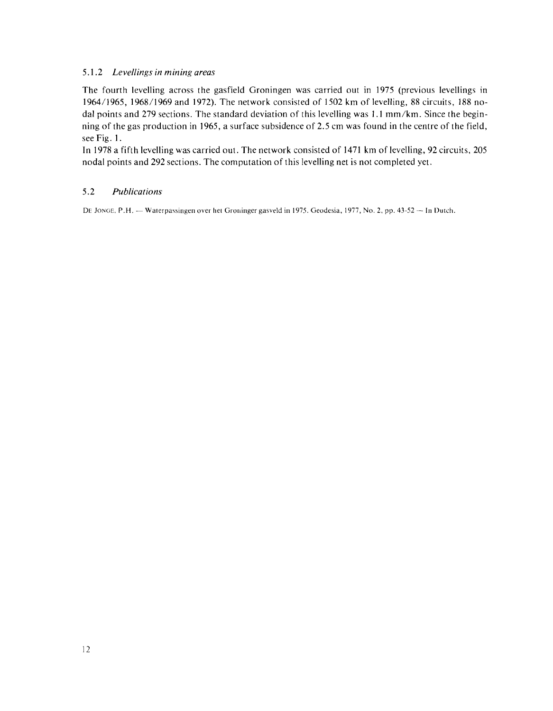# 5.1.2 *Levellings in mining areas*

The fourth levelling across the gasfield Groningen was carried out in 1975 (previous levellings in 1964/1965, 1968/1969 and 1972). The network consisted of 1502 km of levelling, 88 circuits, 188 nodal points and 279 sections. The standard deviation of this levelling was 1.1 mm/km. Since the beginning of the gas production in 1965, a surface subsidence of 2.5 cm was found in the centre of the field, see Fig. 1.

In 1978 a fifth levelling was carried out. The network consisted of 1471 km of levelling, 92 circuits, 205 nodal points and 292 sections. The computation of this levelling net is not completed yet.

# 5.2 *Publications*

DE JONGE, P.H. - Waterpassingen over het Groninger gasveld in 1975. Geodesia, 1977, No. 2, pp. 43-52 -- In Dutch.